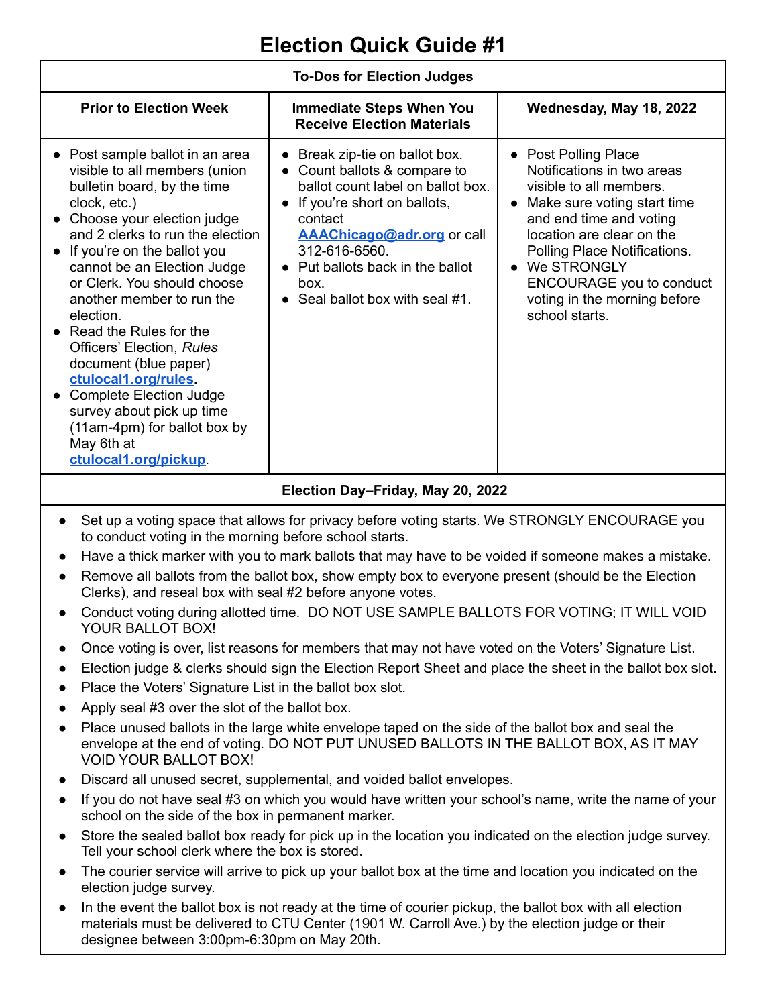## **Election Quick Guide #1**

| <b>To-Dos for Election Judges</b>                                                                                                                                                                                                                                                                                                                                                                                                                                                                                                                                                       |                                                                                                                                                                                                                                                                                                                                  |                                                                                                                                                                                                                                                                                                                                    |  |
|-----------------------------------------------------------------------------------------------------------------------------------------------------------------------------------------------------------------------------------------------------------------------------------------------------------------------------------------------------------------------------------------------------------------------------------------------------------------------------------------------------------------------------------------------------------------------------------------|----------------------------------------------------------------------------------------------------------------------------------------------------------------------------------------------------------------------------------------------------------------------------------------------------------------------------------|------------------------------------------------------------------------------------------------------------------------------------------------------------------------------------------------------------------------------------------------------------------------------------------------------------------------------------|--|
| <b>Prior to Election Week</b>                                                                                                                                                                                                                                                                                                                                                                                                                                                                                                                                                           | <b>Immediate Steps When You</b><br><b>Receive Election Materials</b>                                                                                                                                                                                                                                                             | Wednesday, May 18, 2022                                                                                                                                                                                                                                                                                                            |  |
| • Post sample ballot in an area<br>visible to all members (union<br>bulletin board, by the time<br>clock, etc.)<br>• Choose your election judge<br>and 2 clerks to run the election<br>• If you're on the ballot you<br>cannot be an Election Judge<br>or Clerk. You should choose<br>another member to run the<br>election.<br>• Read the Rules for the<br>Officers' Election, Rules<br>document (blue paper)<br>ctulocal1.org/rules<br><b>Complete Election Judge</b><br>$\bullet$<br>survey about pick up time<br>(11am-4pm) for ballot box by<br>May 6th at<br>ctulocal1.org/pickup | Break zip-tie on ballot box.<br>$\bullet$<br>Count ballots & compare to<br>$\bullet$<br>ballot count label on ballot box.<br>If you're short on ballots,<br>$\bullet$<br>contact<br><b>AAAChicago@adr.org</b> or call<br>312-616-6560.<br>• Put ballots back in the ballot<br>box.<br>Seal ballot box with seal #1.<br>$\bullet$ | • Post Polling Place<br>Notifications in two areas<br>visible to all members.<br>Make sure voting start time<br>$\bullet$<br>and end time and voting<br>location are clear on the<br>Polling Place Notifications.<br>We STRONGLY<br>$\bullet$<br><b>ENCOURAGE</b> you to conduct<br>voting in the morning before<br>school starts. |  |
|                                                                                                                                                                                                                                                                                                                                                                                                                                                                                                                                                                                         |                                                                                                                                                                                                                                                                                                                                  |                                                                                                                                                                                                                                                                                                                                    |  |

## **Election Day–Friday, May 20, 2022**

- Set up a voting space that allows for privacy before voting starts. We STRONGLY ENCOURAGE you to conduct voting in the morning before school starts.
- Have a thick marker with you to mark ballots that may have to be voided if someone makes a mistake.
- Remove all ballots from the ballot box, show empty box to everyone present (should be the Election Clerks), and reseal box with seal #2 before anyone votes.
- Conduct voting during allotted time. DO NOT USE SAMPLE BALLOTS FOR VOTING; IT WILL VOID YOUR BALLOT BOX!
- Once voting is over, list reasons for members that may not have voted on the Voters' Signature List.
- Election judge & clerks should sign the Election Report Sheet and place the sheet in the ballot box slot.
- Place the Voters' Signature List in the ballot box slot.
- Apply seal  $#3$  over the slot of the ballot box.
- Place unused ballots in the large white envelope taped on the side of the ballot box and seal the envelope at the end of voting. DO NOT PUT UNUSED BALLOTS IN THE BALLOT BOX, AS IT MAY VOID YOUR BALLOT BOX!
- Discard all unused secret, supplemental, and voided ballot envelopes.
- If you do not have seal #3 on which you would have written your school's name, write the name of your school on the side of the box in permanent marker.
- Store the sealed ballot box ready for pick up in the location you indicated on the election judge survey. Tell your school clerk where the box is stored.
- The courier service will arrive to pick up your ballot box at the time and location you indicated on the election judge survey.
- In the event the ballot box is not ready at the time of courier pickup, the ballot box with all election materials must be delivered to CTU Center (1901 W. Carroll Ave.) by the election judge or their designee between 3:00pm-6:30pm on May 20th.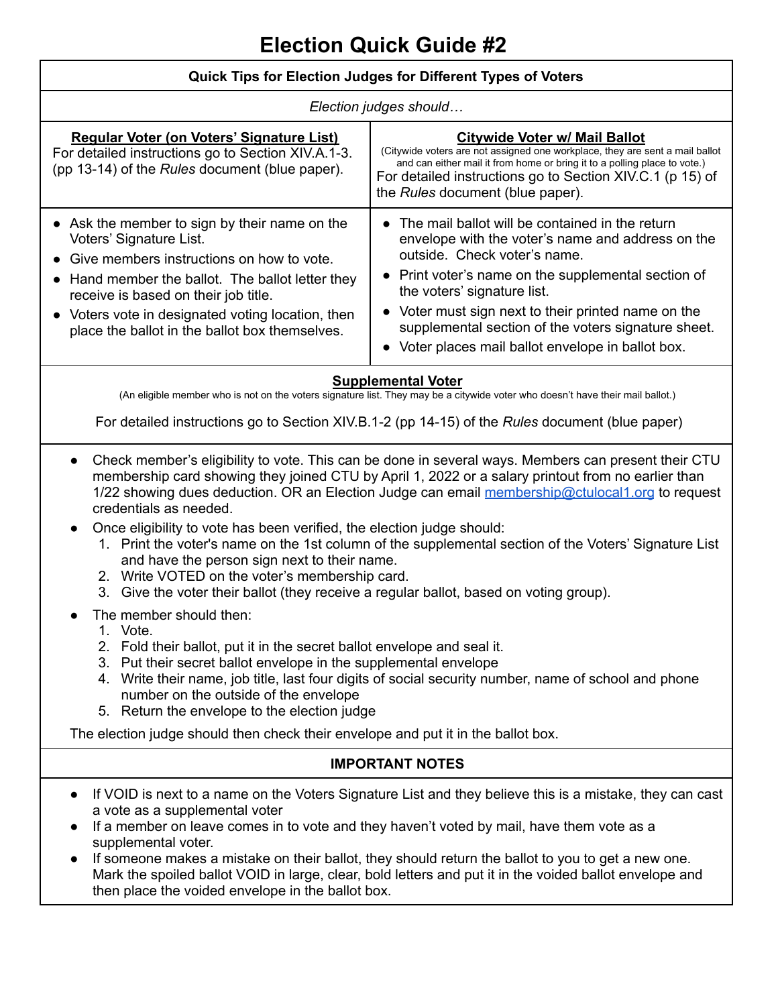| Quick Tips for Election Judges for Different Types of Voters                                                                                                                                                                                                                                                                                                                                                                                                                                                                                                                                                                                                                                                                                       |                                                                                                                                                                                                                                                                                                                                                                                                                        |  |  |
|----------------------------------------------------------------------------------------------------------------------------------------------------------------------------------------------------------------------------------------------------------------------------------------------------------------------------------------------------------------------------------------------------------------------------------------------------------------------------------------------------------------------------------------------------------------------------------------------------------------------------------------------------------------------------------------------------------------------------------------------------|------------------------------------------------------------------------------------------------------------------------------------------------------------------------------------------------------------------------------------------------------------------------------------------------------------------------------------------------------------------------------------------------------------------------|--|--|
| Election judges should                                                                                                                                                                                                                                                                                                                                                                                                                                                                                                                                                                                                                                                                                                                             |                                                                                                                                                                                                                                                                                                                                                                                                                        |  |  |
| Regular Voter (on Voters' Signature List)<br>For detailed instructions go to Section XIV.A.1-3.<br>(pp 13-14) of the Rules document (blue paper).                                                                                                                                                                                                                                                                                                                                                                                                                                                                                                                                                                                                  | <b>Citywide Voter w/ Mail Ballot</b><br>(Citywide voters are not assigned one workplace, they are sent a mail ballot<br>and can either mail it from home or bring it to a polling place to vote.)<br>For detailed instructions go to Section XIV.C.1 (p 15) of<br>the Rules document (blue paper).                                                                                                                     |  |  |
| Ask the member to sign by their name on the<br>Voters' Signature List.<br>Give members instructions on how to vote.<br>Hand member the ballot. The ballot letter they<br>receive is based on their job title.<br>Voters vote in designated voting location, then<br>place the ballot in the ballot box themselves.                                                                                                                                                                                                                                                                                                                                                                                                                                 | • The mail ballot will be contained in the return<br>envelope with the voter's name and address on the<br>outside. Check voter's name.<br>• Print voter's name on the supplemental section of<br>the voters' signature list.<br>• Voter must sign next to their printed name on the<br>supplemental section of the voters signature sheet.<br>• Voter places mail ballot envelope in ballot box.                       |  |  |
| <b>Supplemental Voter</b><br>(An eligible member who is not on the voters signature list. They may be a citywide voter who doesn't have their mail ballot.)<br>For detailed instructions go to Section XIV.B.1-2 (pp 14-15) of the Rules document (blue paper)                                                                                                                                                                                                                                                                                                                                                                                                                                                                                     |                                                                                                                                                                                                                                                                                                                                                                                                                        |  |  |
| Check member's eligibility to vote. This can be done in several ways. Members can present their CTU<br>$\bullet$<br>membership card showing they joined CTU by April 1, 2022 or a salary printout from no earlier than<br>1/22 showing dues deduction. OR an Election Judge can email membership@ctulocal1.org to request<br>credentials as needed.<br>Once eligibility to vote has been verified, the election judge should:<br>$\bullet$<br>1. Print the voter's name on the 1st column of the supplemental section of the Voters' Signature List<br>and have the person sign next to their name.<br>2. Write VOTED on the voter's membership card.<br>Give the voter their ballot (they receive a regular ballot, based on voting group).<br>3. |                                                                                                                                                                                                                                                                                                                                                                                                                        |  |  |
| The member should then:<br>1. Vote.<br>2. Fold their ballot, put it in the secret ballot envelope and seal it.<br>3. Put their secret ballot envelope in the supplemental envelope<br>4. Write their name, job title, last four digits of social security number, name of school and phone<br>number on the outside of the envelope<br>5. Return the envelope to the election judge                                                                                                                                                                                                                                                                                                                                                                |                                                                                                                                                                                                                                                                                                                                                                                                                        |  |  |
| The election judge should then check their envelope and put it in the ballot box.                                                                                                                                                                                                                                                                                                                                                                                                                                                                                                                                                                                                                                                                  |                                                                                                                                                                                                                                                                                                                                                                                                                        |  |  |
| <b>IMPORTANT NOTES</b>                                                                                                                                                                                                                                                                                                                                                                                                                                                                                                                                                                                                                                                                                                                             |                                                                                                                                                                                                                                                                                                                                                                                                                        |  |  |
| a vote as a supplemental voter<br>supplemental voter.<br>$\bullet$<br>then place the voided envelope in the ballot box.                                                                                                                                                                                                                                                                                                                                                                                                                                                                                                                                                                                                                            | If VOID is next to a name on the Voters Signature List and they believe this is a mistake, they can cast<br>If a member on leave comes in to vote and they haven't voted by mail, have them vote as a<br>If someone makes a mistake on their ballot, they should return the ballot to you to get a new one.<br>Mark the spoiled ballot VOID in large, clear, bold letters and put it in the voided ballot envelope and |  |  |